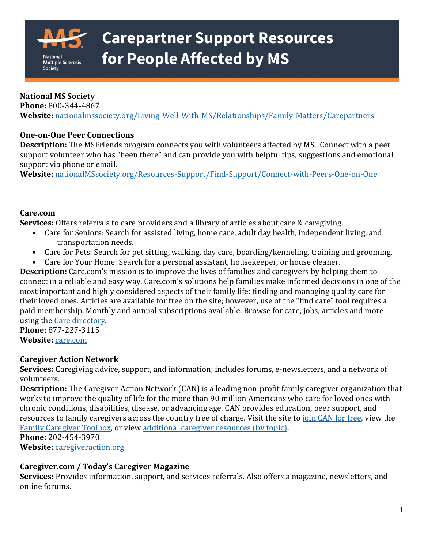

# **Carepartner Support Resources for People Affected by MS**

#### **National MS Society**

**Phone:** 800-344-4867 **Website:** [nationalmssociety.org/Living-Well-With-MS/Relationships/Family-Matters/Carepartners](https://www.nationalmssociety.org/Living-Well-With-MS/Relationships/Family-Matters/Carepartners)

#### **One-on-One Peer Connections**

**Description:** The MSFriends program connects you with volunteers affected by MS. Connect with a peer support volunteer who has "been there" and can provide you with helpful tips, suggestions and emotional support via phone or email.

**Website:** [nationalMSsociety.org/Resources-Support/Find-Support/Connect-with-Peers-One-on-One](http://www.nationalmssociety.org/Resources-Support/Find-Support/Connect-with-Peers-One-on-One)

#### **Care.com**

**Services:** Offers referrals to care providers and a library of articles about care & caregiving.<br>Care for Seniors: Search for assisted living, home care, adult day health, independent

• Care for Seniors: Search for assisted living, home care, adult day health, independent living, and transportation needs.

**\_\_\_\_\_\_\_\_\_\_\_\_\_\_\_\_\_\_\_\_\_\_\_\_\_\_\_\_\_\_\_\_\_\_\_\_\_\_\_\_\_\_\_\_\_\_\_\_\_\_\_\_\_\_\_\_\_\_\_\_\_\_\_\_\_\_\_\_\_\_\_\_\_\_\_\_\_\_\_\_\_\_\_\_\_\_\_\_\_\_\_\_\_\_\_\_\_\_\_\_\_\_\_\_\_\_\_\_\_\_\_\_\_\_\_\_\_\_\_\_\_\_\_\_**

- Care for Pets: Search for pet sitting, walking, day care, boarding/kenneling, training and grooming.
- Care for Your Home: Search for a personal assistant, housekeeper, or house cleaner.

**Description:** Care.com's mission is to improve the lives of families and caregivers by helping them to connect in a reliable and easy way. Care.com's solutions help families make informed decisions in one of the most important and highly considered aspects of their family life: finding and managing quality care for their loved ones. Articles are available for free on the site; however, use of the "find care" tool requires a paid membership. Monthly and annual subscriptions available. Browse for care, jobs, articles and more using the [Care directory.](https://www.care.com/care-directory)

**Phone:** 877-227-3115 **Website:** [care.com](https://www.care.com/)

## **Caregiver Action Network**

**Services:** Caregiving advice, support, and information; includes forums, e-newsletters, and a network of volunteers.

**Description:** The Caregiver Action Network (CAN) is a leading non-profit family caregiver organization that works to improve the quality of life for the more than 90 million Americans who care for loved ones with chronic conditions, disabilities, disease, or advancing age. CAN provides education, peer support, and resources to family caregivers across the country free of charge. Visit the site to [join CAN for free,](http://www.caregiveraction.org/join) view the [Family Caregiver Toolbox,](http://www.caregiveraction.org/family-caregiver-toolbox) or view [additional caregiver resources \(by topic\).](http://www.caregiveraction.org/resources/agencies-and-organizations)

**Phone:** 202-454-3970

**Website:** [caregiveraction.org](http://www.caregiveraction.org/)

## **Caregiver.com / Today's Caregiver Magazine**

**Services:** Provides information, support, and services referrals. Also offers a magazine, newsletters, and online forums.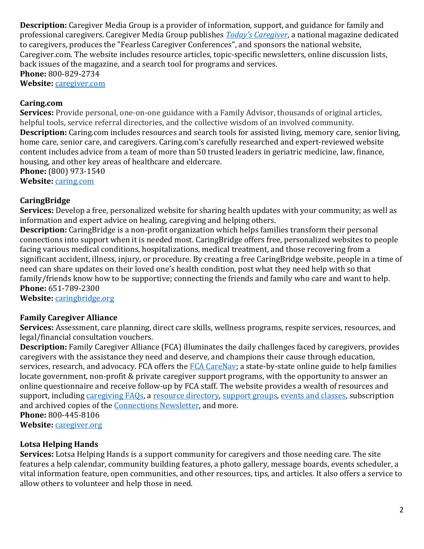**Description:** Caregiver Media Group is a provider of information, support, and guidance for family and professional caregivers. Caregiver Media Group publishes *[Today's Caregiver](https://caregiver.com/magazine)*, a national magazine dedicated to caregivers, produces the "Fearless Caregiver Conferences", and sponsors the national website, Caregiver.com. The website includes resource articles, topic-specific newsletters, online discussion lists, back issues of the magazine, and a search tool for programs and services. **Phone:** 800-829-2734

Website: [caregiver.com](http://www.caregiver.com/)

## **Caring.com**

**Services:** Provide personal, one-on-one guidance with a Family Advisor, thousands of original articles, helpful tools, service referral directories, and the collective wisdom of an involved community. **Description:** Caring.com includes resources and search tools for assisted living, memory care, senior living, home care, senior care, and caregivers. Caring.com's carefully researched and expert-reviewed website content includes advice from a team of more than 50 trusted leaders in geriatric medicine, law, finance, housing, and other key areas of healthcare and eldercare. **Phone:** (800) 973-1540

**Website:** [caring.com](https://www.caring.com/)

## **CaringBridge**

**Services:** Develop a free, personalized website for sharing health updates with your community; as well as information and expert advice on healing, caregiving and helping others.

**Description:** CaringBridge is a non-profit organization which helps families transform their personal connections into support when it is needed most. CaringBridge offers free, personalized websites to people facing various medical conditions, hospitalizations, medical treatment, and those recovering from a significant accident, illness, injury, or procedure. By creating a free CaringBridge website, people in a time of need can share updates on their loved one's health condition, post what they need help with so that family/friends know how to be supportive; connecting the friends and family who care and want to help. **Phone:** 651-789-2300

**Website:** [caringbridge.org](https://www.caringbridge.org/)

# **Family Caregiver Alliance**

**Services:** Assessment, care planning, direct care skills, wellness programs, respite services, resources, and legal/financial consultation vouchers.

**Description:** Family Caregiver Alliance (FCA) illuminates the daily challenges faced by caregivers, provides caregivers with the assistance they need and deserve, and champions their cause through education, services, research, and advocacy. FCA offers the [FCA CareNav;](https://caregiver.org/family-care-navigator) a state-by-state online guide to help families locate government, non-profit & private caregiver support programs, with the opportunity to answer an online questionnaire and receive follow-up by FCA staff. The website provides a wealth of resources and support, including [caregiving FAQs,](https://caregiver.org/frequently-asked-questions) a [resource directory,](https://www.caregiver.org/caregiver-resources/all-resources/) [support groups,](https://www.caregiver.org/connecting-caregivers/support-groups/) [events and classes,](https://www.caregiver.org/connecting-caregivers/events-classes/) subscription and archived copies of the [Connections Newsletter,](https://www.caregiver.org/about-fca/news-press/connections-newsletter/) and more.

**Phone:** 800-445-8106 **Website:** [caregiver.org](https://caregiver.org/)

## **Lotsa Helping Hands**

**Services:** Lotsa Helping Hands is a support community for caregivers and those needing care. The site features a help calendar, community building features, a photo gallery, message boards, events scheduler, a vital information feature, open communities, and other resources, tips, and articles. It also offers a service to allow others to volunteer and help those in need.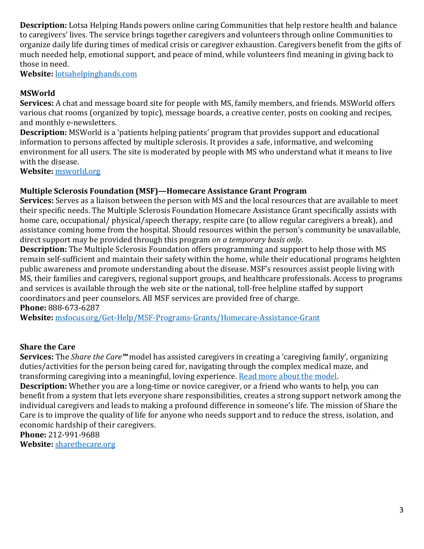**Description:** Lotsa Helping Hands powers online caring Communities that help restore health and balance to caregivers' lives. The service brings together caregivers and volunteers through online Communities to organize daily life during times of medical crisis or caregiver exhaustion. Caregivers benefit from the gifts of much needed help, emotional support, and peace of mind, while volunteers find meaning in giving back to those in need.

**Website:** [lotsahelpinghands.com](http://lotsahelpinghands.com/)

## **MSWorld**

**Services:** A chat and message board site for people with MS, family members, and friends. MSWorld offers various chat rooms (organized by topic), message boards, a creative center, posts on cooking and recipes, and monthly e-newsletters.

**Description:** MSWorld is a 'patients helping patients' program that provides support and educational information to persons affected by multiple sclerosis. It provides a safe, informative, and welcoming environment for all users. The site is moderated by people with MS who understand what it means to live with the disease.

**Website:** [msworld.org](http://www.msworld.org/)

#### **Multiple Sclerosis Foundation (MSF)—Homecare Assistance Grant Program**

**Services:** Serves as a liaison between the person with MS and the local resources that are available to meet their specific needs. The Multiple Sclerosis Foundation Homecare Assistance Grant specifically assists with home care, occupational/ physical/speech therapy, respite care (to allow regular caregivers a break), and assistance coming home from the hospital. Should resources within the person's community be unavailable, direct support may be provided through this program *on a temporary basis only*.

**Description:** The Multiple Sclerosis Foundation offers programming and support to help those with MS remain self-sufficient and maintain their safety within the home, while their educational programs heighten public awareness and promote understanding about the disease. MSF's resources assist people living with MS, their families and caregivers, regional support groups, and healthcare professionals. Access to programs and services is available through the web site or the national, toll-free helpline staffed by support coordinators and peer counselors. All MSF services are provided free of charge.

**Phone:** 888-673-6287

**Website:** [msfocus.org/Get-Help/MSF-Programs-Grants/Homecare-Assistance-Grant](https://msfocus.org/Get-Help/MSF-Programs-Grants/Homecare-Assistance-Grant)

## **Share the Care**

**Services:** The *Share the Care™* model has assisted caregivers in creating a 'caregiving family', organizing duties/activities for the person being cared for, navigating through the complex medical maze, and transforming caregiving into a meaningful, loving experience. [Read more about the model.](http://sharethecare.org/purchase-the-book/)

**Description:** Whether you are a long-time or novice caregiver, or a friend who wants to help, you can benefit from a system that lets everyone share responsibilities, creates a strong support network among the individual caregivers and leads to making a profound difference in someone's life. The mission of Share the Care is to improve the quality of life for anyone who needs support and to reduce the stress, isolation, and economic hardship of their caregivers.

**Phone:** 212-991-9688

**Website:** [sharethecare.org](https://sharethecare.org/)